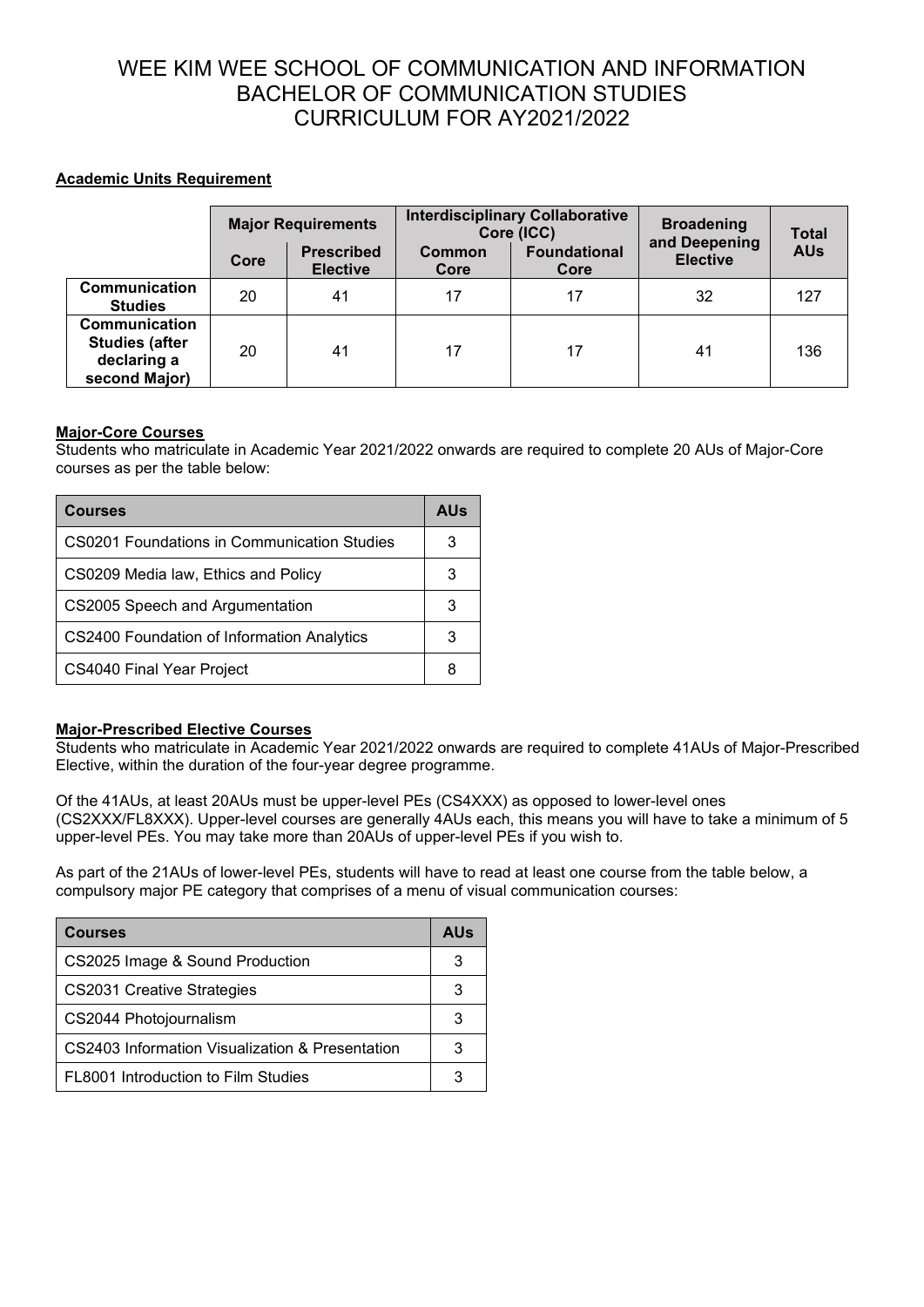# WEE KIM WEE SCHOOL OF COMMUNICATION AND INFORMATION BACHELOR OF COMMUNICATION STUDIES CURRICULUM FOR AY2021/2022

## **Academic Units Requirement**

|                                                                        | <b>Major Requirements</b> |                                      | <b>Interdisciplinary Collaborative</b><br>Core (ICC) |                             | <b>Broadening</b>                | <b>Total</b> |
|------------------------------------------------------------------------|---------------------------|--------------------------------------|------------------------------------------------------|-----------------------------|----------------------------------|--------------|
|                                                                        | Core                      | <b>Prescribed</b><br><b>Elective</b> | Common<br>Core                                       | <b>Foundational</b><br>Core | and Deepening<br><b>Elective</b> | <b>AUs</b>   |
| Communication<br><b>Studies</b>                                        | 20                        | 41                                   | 17                                                   | 17                          | 32                               | 127          |
| Communication<br><b>Studies (after</b><br>declaring a<br>second Major) | 20                        | 41                                   | 17                                                   | 17                          | 41                               | 136          |

### **Major-Core Courses**

Students who matriculate in Academic Year 2021/2022 onwards are required to complete 20 AUs of Major-Core courses as per the table below:

| <b>Courses</b>                              |   |
|---------------------------------------------|---|
| CS0201 Foundations in Communication Studies |   |
| CS0209 Media law, Ethics and Policy         | 3 |
| CS2005 Speech and Argumentation             |   |
| CS2400 Foundation of Information Analytics  |   |
| CS4040 Final Year Project                   | 8 |

#### **Major-Prescribed Elective Courses**

Students who matriculate in Academic Year 2021/2022 onwards are required to complete 41AUs of Major-Prescribed Elective, within the duration of the four-year degree programme.

Of the 41AUs, at least 20AUs must be upper-level PEs (CS4XXX) as opposed to lower-level ones (CS2XXX/FL8XXX). Upper-level courses are generally 4AUs each, this means you will have to take a minimum of 5 upper-level PEs. You may take more than 20AUs of upper-level PEs if you wish to.

As part of the 21AUs of lower-level PEs, students will have to read at least one course from the table below, a compulsory major PE category that comprises of a menu of visual communication courses:

| <b>Courses</b>                                  |  |
|-------------------------------------------------|--|
| CS2025 Image & Sound Production                 |  |
| <b>CS2031 Creative Strategies</b>               |  |
| CS2044 Photojournalism                          |  |
| CS2403 Information Visualization & Presentation |  |
| FL8001 Introduction to Film Studies             |  |